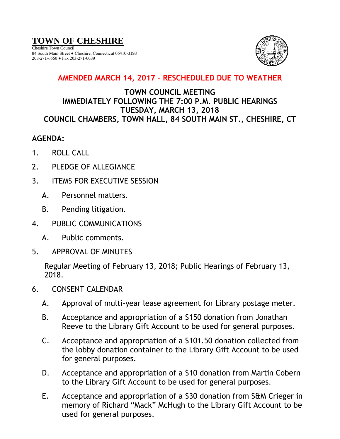# **TOWN OF CHESHIRE**

Cheshire Town Council 84 South Main Street ● Cheshire, Connecticut 06410-3193 203-271-6660 ● Fax 203-271-6639



## **AMENDED MARCH 14, 2017 – RESCHEDULED DUE TO WEATHER**

### **TOWN COUNCIL MEETING IMMEDIATELY FOLLOWING THE 7:00 P.M. PUBLIC HEARINGS TUESDAY, MARCH 13, 2018 COUNCIL CHAMBERS, TOWN HALL, 84 SOUTH MAIN ST., CHESHIRE, CT**

#### **AGENDA:**

- 1. ROLL CALL
- 2. PLEDGE OF ALLEGIANCE
- 3. ITEMS FOR EXECUTIVE SESSION
	- A. Personnel matters.
	- B. Pending litigation.
- 4. PUBLIC COMMUNICATIONS
	- A. Public comments.
- 5. APPROVAL OF MINUTES

Regular Meeting of February 13, 2018; Public Hearings of February 13, 2018.

- 6. CONSENT CALENDAR
	- A. Approval of multi-year lease agreement for Library postage meter.
	- B. Acceptance and appropriation of a \$150 donation from Jonathan Reeve to the Library Gift Account to be used for general purposes.
	- C. Acceptance and appropriation of a \$101.50 donation collected from the lobby donation container to the Library Gift Account to be used for general purposes.
	- D. Acceptance and appropriation of a \$10 donation from Martin Cobern to the Library Gift Account to be used for general purposes.
	- E. Acceptance and appropriation of a \$30 donation from S&M Crieger in memory of Richard "Mack" McHugh to the Library Gift Account to be used for general purposes.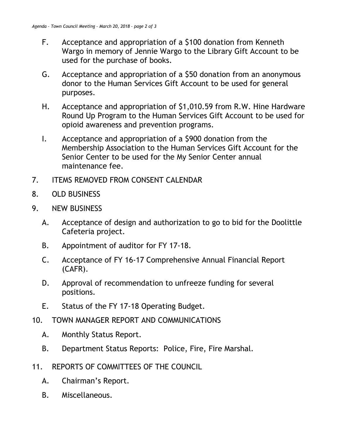- F. Acceptance and appropriation of a \$100 donation from Kenneth Wargo in memory of Jennie Wargo to the Library Gift Account to be used for the purchase of books.
- G. Acceptance and appropriation of a \$50 donation from an anonymous donor to the Human Services Gift Account to be used for general purposes.
- H. Acceptance and appropriation of \$1,010.59 from R.W. Hine Hardware Round Up Program to the Human Services Gift Account to be used for opioid awareness and prevention programs.
- I. Acceptance and appropriation of a \$900 donation from the Membership Association to the Human Services Gift Account for the Senior Center to be used for the My Senior Center annual maintenance fee.
- 7. ITEMS REMOVED FROM CONSENT CALENDAR
- 8. OLD BUSINESS
- 9. NEW BUSINESS
	- A. Acceptance of design and authorization to go to bid for the Doolittle Cafeteria project.
	- B. Appointment of auditor for FY 17-18.
	- C. Acceptance of FY 16-17 Comprehensive Annual Financial Report (CAFR).
	- D. Approval of recommendation to unfreeze funding for several positions.
	- E. Status of the FY 17-18 Operating Budget.
- 10. TOWN MANAGER REPORT AND COMMUNICATIONS
	- A. Monthly Status Report.
	- B. Department Status Reports: Police, Fire, Fire Marshal.
- 11. REPORTS OF COMMITTEES OF THE COUNCIL
	- A. Chairman's Report.
	- B. Miscellaneous.